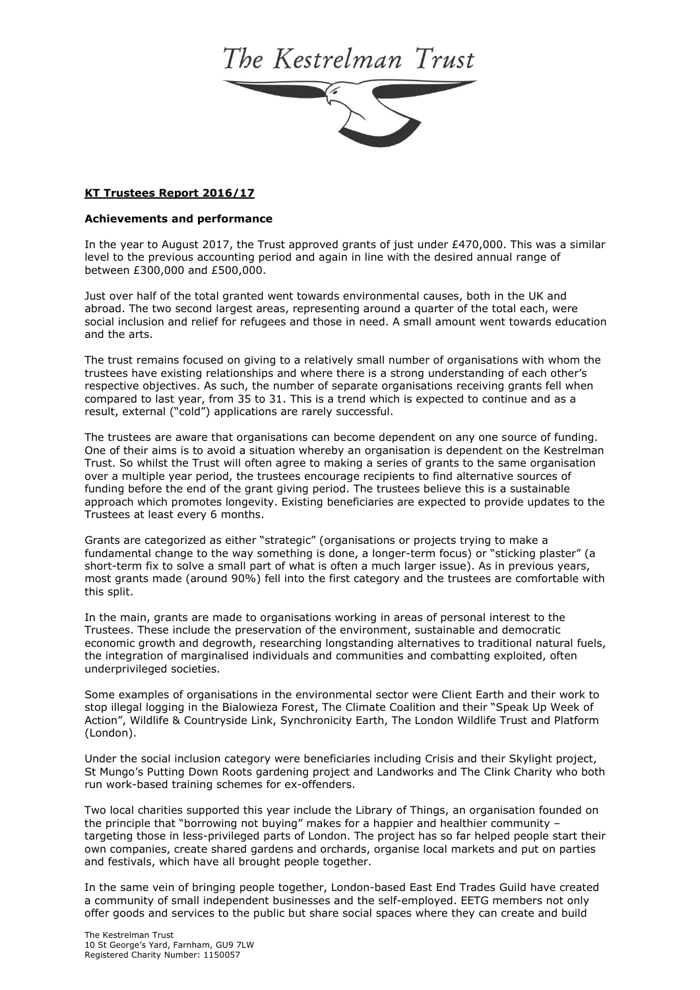## The Kestrelman Trust



## **KT Trustees Report 2016/17**

## **Achievements and performance**

In the year to August 2017, the Trust approved grants of just under £470,000. This was a similar level to the previous accounting period and again in line with the desired annual range of between £300,000 and £500,000.

Just over half of the total granted went towards environmental causes, both in the UK and abroad. The two second largest areas, representing around a quarter of the total each, were social inclusion and relief for refugees and those in need. A small amount went towards education and the arts.

The trust remains focused on giving to a relatively small number of organisations with whom the trustees have existing relationships and where there is a strong understanding of each other's respective objectives. As such, the number of separate organisations receiving grants fell when compared to last year, from 35 to 31. This is a trend which is expected to continue and as a result, external ("cold") applications are rarely successful.

The trustees are aware that organisations can become dependent on any one source of funding. One of their aims is to avoid a situation whereby an organisation is dependent on the Kestrelman Trust. So whilst the Trust will often agree to making a series of grants to the same organisation over a multiple year period, the trustees encourage recipients to find alternative sources of funding before the end of the grant giving period. The trustees believe this is a sustainable approach which promotes longevity. Existing beneficiaries are expected to provide updates to the Trustees at least every 6 months.

Grants are categorized as either "strategic" (organisations or projects trying to make a fundamental change to the way something is done, a longer-term focus) or "sticking plaster" (a short-term fix to solve a small part of what is often a much larger issue). As in previous years, most grants made (around 90%) fell into the first category and the trustees are comfortable with this split.

In the main, grants are made to organisations working in areas of personal interest to the Trustees. These include the preservation of the environment, sustainable and democratic economic growth and degrowth, researching longstanding alternatives to traditional natural fuels, the integration of marginalised individuals and communities and combatting exploited, often underprivileged societies.

Some examples of organisations in the environmental sector were Client Earth and their work to stop illegal logging in the Bialowieza Forest, The Climate Coalition and their "Speak Up Week of Action", Wildlife & Countryside Link, Synchronicity Earth, The London Wildlife Trust and Platform (London).

Under the social inclusion category were beneficiaries including Crisis and their Skylight project, St Mungo's Putting Down Roots gardening project and Landworks and The Clink Charity who both run work-based training schemes for ex-offenders.

Two local charities supported this year include the Library of Things, an organisation founded on the principle that "borrowing not buying" makes for a happier and healthier community – targeting those in less-privileged parts of London. The project has so far helped people start their own companies, create shared gardens and orchards, organise local markets and put on parties and festivals, which have all brought people together.

In the same vein of bringing people together, London-based East End Trades Guild have created a community of small independent businesses and the self-employed. EETG members not only offer goods and services to the public but share social spaces where they can create and build